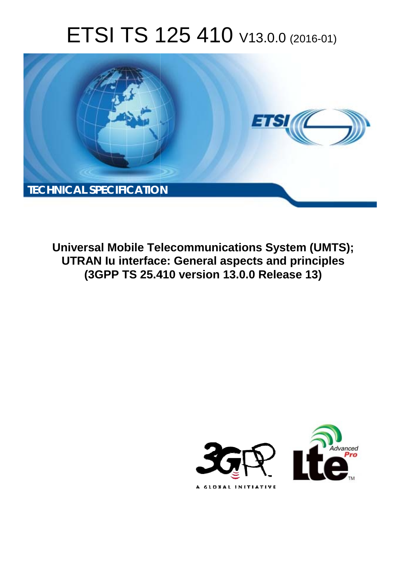# ETSI TS 125 410 V13.0.0 (2016-01)



**Universal Mobile Tel elecommunications System ( (UMTS); UTRAN Iu interface ce: General aspects and princ inciples (3GPP TS 25.4 .410 version 13.0.0 Release 13 13)** 

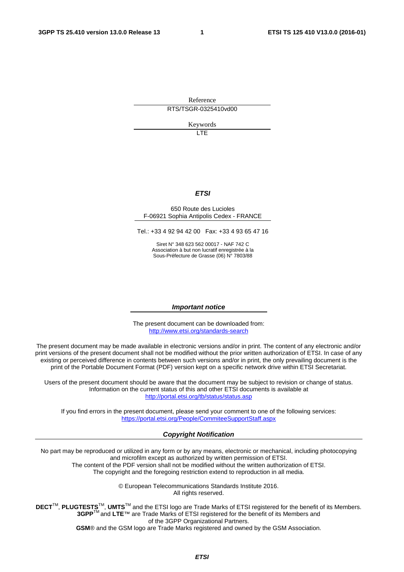Reference RTS/TSGR-0325410vd00

Keywords

**TTE** 

#### *ETSI*

#### 650 Route des Lucioles F-06921 Sophia Antipolis Cedex - FRANCE

Tel.: +33 4 92 94 42 00 Fax: +33 4 93 65 47 16

Siret N° 348 623 562 00017 - NAF 742 C Association à but non lucratif enregistrée à la Sous-Préfecture de Grasse (06) N° 7803/88

#### *Important notice*

The present document can be downloaded from: <http://www.etsi.org/standards-search>

The present document may be made available in electronic versions and/or in print. The content of any electronic and/or print versions of the present document shall not be modified without the prior written authorization of ETSI. In case of any existing or perceived difference in contents between such versions and/or in print, the only prevailing document is the print of the Portable Document Format (PDF) version kept on a specific network drive within ETSI Secretariat.

Users of the present document should be aware that the document may be subject to revision or change of status. Information on the current status of this and other ETSI documents is available at <http://portal.etsi.org/tb/status/status.asp>

If you find errors in the present document, please send your comment to one of the following services: <https://portal.etsi.org/People/CommiteeSupportStaff.aspx>

#### *Copyright Notification*

No part may be reproduced or utilized in any form or by any means, electronic or mechanical, including photocopying and microfilm except as authorized by written permission of ETSI.

The content of the PDF version shall not be modified without the written authorization of ETSI. The copyright and the foregoing restriction extend to reproduction in all media.

> © European Telecommunications Standards Institute 2016. All rights reserved.

**DECT**TM, **PLUGTESTS**TM, **UMTS**TM and the ETSI logo are Trade Marks of ETSI registered for the benefit of its Members. **3GPP**TM and **LTE**™ are Trade Marks of ETSI registered for the benefit of its Members and of the 3GPP Organizational Partners.

**GSM**® and the GSM logo are Trade Marks registered and owned by the GSM Association.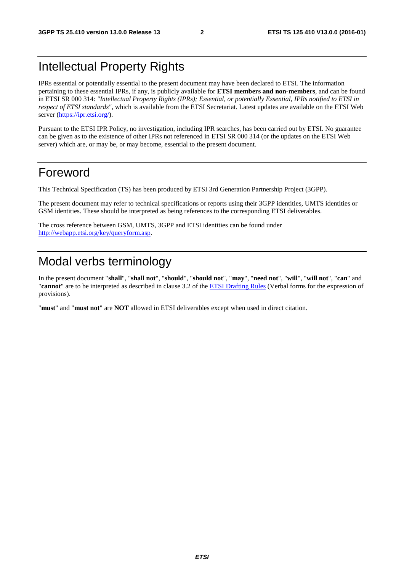# Intellectual Property Rights

IPRs essential or potentially essential to the present document may have been declared to ETSI. The information pertaining to these essential IPRs, if any, is publicly available for **ETSI members and non-members**, and can be found in ETSI SR 000 314: *"Intellectual Property Rights (IPRs); Essential, or potentially Essential, IPRs notified to ETSI in respect of ETSI standards"*, which is available from the ETSI Secretariat. Latest updates are available on the ETSI Web server [\(https://ipr.etsi.org/](https://ipr.etsi.org/)).

Pursuant to the ETSI IPR Policy, no investigation, including IPR searches, has been carried out by ETSI. No guarantee can be given as to the existence of other IPRs not referenced in ETSI SR 000 314 (or the updates on the ETSI Web server) which are, or may be, or may become, essential to the present document.

# Foreword

This Technical Specification (TS) has been produced by ETSI 3rd Generation Partnership Project (3GPP).

The present document may refer to technical specifications or reports using their 3GPP identities, UMTS identities or GSM identities. These should be interpreted as being references to the corresponding ETSI deliverables.

The cross reference between GSM, UMTS, 3GPP and ETSI identities can be found under [http://webapp.etsi.org/key/queryform.asp.](http://webapp.etsi.org/key/queryform.asp)

# Modal verbs terminology

In the present document "**shall**", "**shall not**", "**should**", "**should not**", "**may**", "**need not**", "**will**", "**will not**", "**can**" and "**cannot**" are to be interpreted as described in clause 3.2 of the [ETSI Drafting Rules](http://portal.etsi.org/Help/editHelp!/Howtostart/ETSIDraftingRules.aspx) (Verbal forms for the expression of provisions).

"**must**" and "**must not**" are **NOT** allowed in ETSI deliverables except when used in direct citation.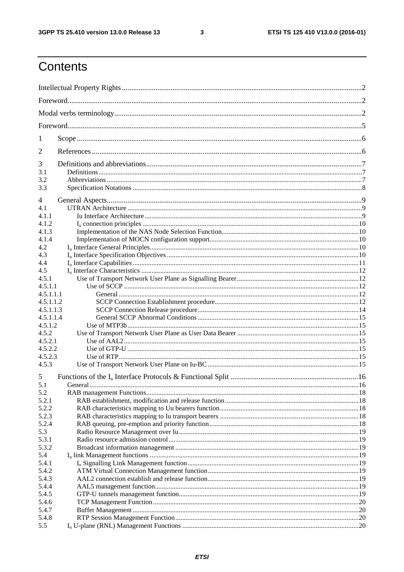$\mathbf{3}$ 

# Contents

| 1                |         |  |  |  |  |  |
|------------------|---------|--|--|--|--|--|
| 2                |         |  |  |  |  |  |
| 3                |         |  |  |  |  |  |
| 3.1              |         |  |  |  |  |  |
| 3.2              |         |  |  |  |  |  |
| 3.3              |         |  |  |  |  |  |
| 4                |         |  |  |  |  |  |
| 4.1              |         |  |  |  |  |  |
| 4.1.1            |         |  |  |  |  |  |
| 4.1.2            |         |  |  |  |  |  |
| 4.1.3            |         |  |  |  |  |  |
| 4.1.4            |         |  |  |  |  |  |
| 4.2              |         |  |  |  |  |  |
| 4.3              |         |  |  |  |  |  |
| 4.4              |         |  |  |  |  |  |
| 4.5              |         |  |  |  |  |  |
| 4.5.1            |         |  |  |  |  |  |
| 4.5.1.1          |         |  |  |  |  |  |
| 4.5.1.1.1        |         |  |  |  |  |  |
| 4.5.1.1.2        |         |  |  |  |  |  |
| 4.5.1.1.3        |         |  |  |  |  |  |
| 4.5.1.1.4        |         |  |  |  |  |  |
| 4.5.1.2<br>4.5.2 |         |  |  |  |  |  |
| 4.5.2.1          |         |  |  |  |  |  |
| 4.5.2.2          |         |  |  |  |  |  |
| 4.5.2.3          |         |  |  |  |  |  |
| 4.5.3            |         |  |  |  |  |  |
|                  |         |  |  |  |  |  |
| 5                |         |  |  |  |  |  |
| 5.1<br>5.2       | General |  |  |  |  |  |
| 5.2.1            |         |  |  |  |  |  |
| 5.2.2            |         |  |  |  |  |  |
| 5.2.3            |         |  |  |  |  |  |
| 5.2.4            |         |  |  |  |  |  |
| 5.3              |         |  |  |  |  |  |
| 5.3.1            |         |  |  |  |  |  |
| 5.3.2            |         |  |  |  |  |  |
| 5.4              |         |  |  |  |  |  |
| 5.4.1            |         |  |  |  |  |  |
| 5.4.2            |         |  |  |  |  |  |
| 5.4.3            |         |  |  |  |  |  |
| 5.4.4            |         |  |  |  |  |  |
| 5.4.5            |         |  |  |  |  |  |
| 5.4.6            |         |  |  |  |  |  |
| 5.4.7            |         |  |  |  |  |  |
| 5.4.8            |         |  |  |  |  |  |
| 5.5              |         |  |  |  |  |  |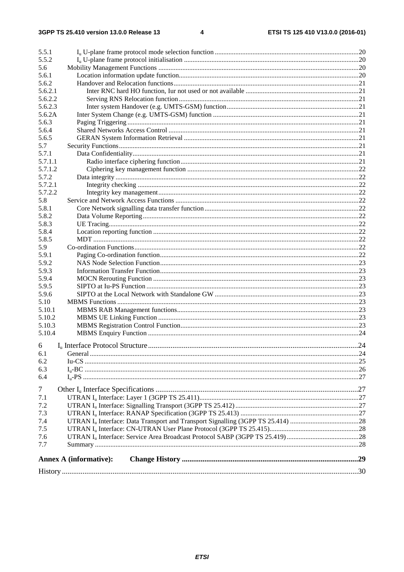| 5.5.1          |                               |  |
|----------------|-------------------------------|--|
| 5.5.2          |                               |  |
| 5.6            |                               |  |
| 5.6.1          |                               |  |
| 5.6.2          |                               |  |
| 5.6.2.1        |                               |  |
| 5.6.2.2        |                               |  |
| 5.6.2.3        |                               |  |
| 5.6.2A         |                               |  |
| 5.6.3          |                               |  |
| 5.6.4          |                               |  |
| 5.6.5          |                               |  |
| 5.7            |                               |  |
| 5.7.1          |                               |  |
| 5.7.1.1        |                               |  |
| 5.7.1.2        |                               |  |
| 5.7.2          |                               |  |
| 5.7.2.1        |                               |  |
| 5.7.2.2        |                               |  |
| 5.8            |                               |  |
| 5.8.1          |                               |  |
| 5.8.2          |                               |  |
| 5.8.3          |                               |  |
| 5.8.4          |                               |  |
| 5.8.5          |                               |  |
| 5.9            |                               |  |
| 5.9.1          |                               |  |
| 5.9.2          |                               |  |
| 5.9.3          |                               |  |
| 5.9.4          |                               |  |
| 5.9.5          |                               |  |
| 5.9.6          |                               |  |
| 5.10           |                               |  |
| 5.10.1         |                               |  |
| 5.10.2         |                               |  |
| 5.10.3         |                               |  |
| 5.10.4         |                               |  |
|                |                               |  |
| 6              |                               |  |
| 6.1            |                               |  |
| 6.2            |                               |  |
| 6.3            |                               |  |
| 6.4            |                               |  |
| $\overline{7}$ |                               |  |
|                |                               |  |
| 7.1            |                               |  |
| 7.2            |                               |  |
| 7.3            |                               |  |
| 7.4            |                               |  |
| 7.5            |                               |  |
| 7.6            |                               |  |
| 7.7            |                               |  |
|                | <b>Annex A (informative):</b> |  |
|                |                               |  |
|                |                               |  |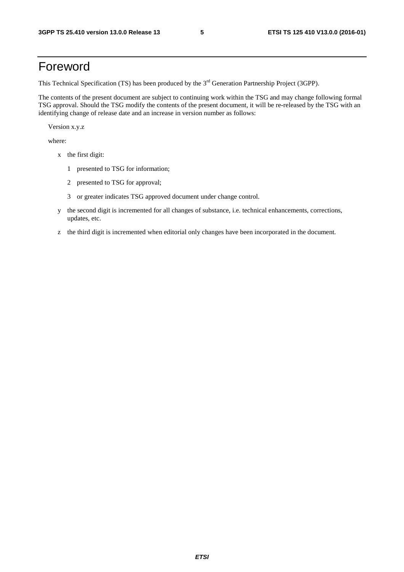# Foreword

This Technical Specification (TS) has been produced by the 3<sup>rd</sup> Generation Partnership Project (3GPP).

The contents of the present document are subject to continuing work within the TSG and may change following formal TSG approval. Should the TSG modify the contents of the present document, it will be re-released by the TSG with an identifying change of release date and an increase in version number as follows:

Version x.y.z

where:

- x the first digit:
	- 1 presented to TSG for information;
	- 2 presented to TSG for approval;
	- 3 or greater indicates TSG approved document under change control.
- y the second digit is incremented for all changes of substance, i.e. technical enhancements, corrections, updates, etc.
- z the third digit is incremented when editorial only changes have been incorporated in the document.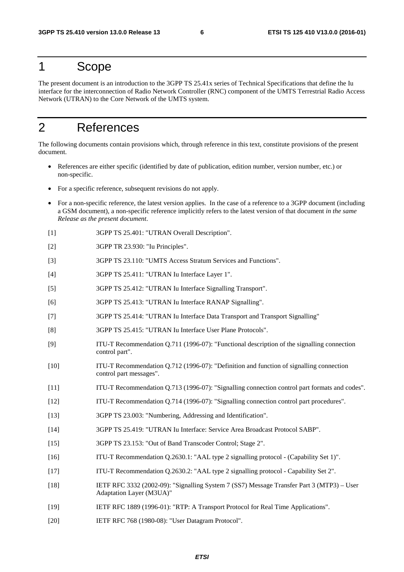### 1 Scope

The present document is an introduction to the 3GPP TS 25.41x series of Technical Specifications that define the Iu interface for the interconnection of Radio Network Controller (RNC) component of the UMTS Terrestrial Radio Access Network (UTRAN) to the Core Network of the UMTS system.

# 2 References

The following documents contain provisions which, through reference in this text, constitute provisions of the present document.

- References are either specific (identified by date of publication, edition number, version number, etc.) or non-specific.
- For a specific reference, subsequent revisions do not apply.
- For a non-specific reference, the latest version applies. In the case of a reference to a 3GPP document (including a GSM document), a non-specific reference implicitly refers to the latest version of that document *in the same Release as the present document*.
- [1] 3GPP TS 25.401: "UTRAN Overall Description".
- [2] 3GPP TR 23.930: "Iu Principles".
- [3] 3GPP TS 23.110: "UMTS Access Stratum Services and Functions".
- [4] 3GPP TS 25.411: "UTRAN Iu Interface Layer 1".
- [5] 3GPP TS 25.412: "UTRAN Iu Interface Signalling Transport".
- [6] 3GPP TS 25.413: "UTRAN Iu Interface RANAP Signalling".
- [7] 3GPP TS 25.414: "UTRAN Iu Interface Data Transport and Transport Signalling"
- [8] 3GPP TS 25.415: "UTRAN Iu Interface User Plane Protocols".
- [9] ITU-T Recommendation Q.711 (1996-07): "Functional description of the signalling connection control part".
- [10] ITU-T Recommendation Q.712 (1996-07): "Definition and function of signalling connection control part messages".
- [11] ITU-T Recommendation Q.713 (1996-07): "Signalling connection control part formats and codes".
- [12] ITU-T Recommendation Q.714 (1996-07): "Signalling connection control part procedures".
- [13] 3GPP TS 23.003: "Numbering, Addressing and Identification".
- [14] 3GPP TS 25.419: "UTRAN Iu Interface: Service Area Broadcast Protocol SABP".
- [15] 3GPP TS 23.153: "Out of Band Transcoder Control; Stage 2".
- [16] ITU-T Recommendation Q.2630.1: "AAL type 2 signalling protocol (Capability Set 1)".
- [17] ITU-T Recommendation Q.2630.2: "AAL type 2 signalling protocol Capability Set 2".
- [18] IETF RFC 3332 (2002-09): "Signalling System 7 (SS7) Message Transfer Part 3 (MTP3) User Adaptation Layer (M3UA)"
- [19] IETF RFC 1889 (1996-01): "RTP: A Transport Protocol for Real Time Applications".
- [20] IETF RFC 768 (1980-08): "User Datagram Protocol".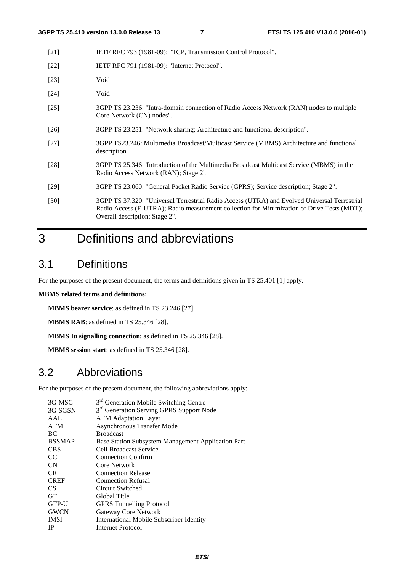| $[21]$ | IETF RFC 793 (1981-09): "TCP, Transmission Control Protocol". |
|--------|---------------------------------------------------------------|
|        |                                                               |

- [22] **IETF RFC 791 (1981-09): "Internet Protocol".**
- [23] Void
- [24] Void
- [25] 3GPP TS 23.236: "Intra-domain connection of Radio Access Network (RAN) nodes to multiple Core Network (CN) nodes".
- [26] 3GPP TS 23.251: "Network sharing; Architecture and functional description".
- [27] 3GPP TS23.246: Multimedia Broadcast/Multicast Service (MBMS) Architecture and functional description
- [28] 3GPP TS 25.346: 'Introduction of the Multimedia Broadcast Multicast Service (MBMS) in the Radio Access Network (RAN); Stage 2'.
- [29] 3GPP TS 23.060: "General Packet Radio Service (GPRS); Service description; Stage 2".
- [30] 3GPP TS 37.320: "Universal Terrestrial Radio Access (UTRA) and Evolved Universal Terrestrial Radio Access (E-UTRA); Radio measurement collection for Minimization of Drive Tests (MDT); Overall description; Stage 2".

# 3 Definitions and abbreviations

### 3.1 Definitions

For the purposes of the present document, the terms and definitions given in TS 25.401 [1] apply.

#### **MBMS related terms and definitions:**

**MBMS bearer service**: as defined in TS 23.246 [27].

**MBMS RAB**: as defined in TS 25.346 [28].

**MBMS Iu signalling connection**: as defined in TS 25.346 [28].

**MBMS session start**: as defined in TS 25.346 [28].

# 3.2 Abbreviations

For the purposes of the present document, the following abbreviations apply:

| 3G-MSC        | 3 <sup>rd</sup> Generation Mobile Switching Centre   |
|---------------|------------------------------------------------------|
| 3G-SGSN       | 3 <sup>rd</sup> Generation Serving GPRS Support Node |
| AAL           | <b>ATM</b> Adaptation Layer                          |
| <b>ATM</b>    | Asynchronous Transfer Mode                           |
| BC.           | <b>Broadcast</b>                                     |
| <b>BSSMAP</b> | Base Station Subsystem Management Application Part   |
| <b>CBS</b>    | <b>Cell Broadcast Service</b>                        |
| <sub>CC</sub> | <b>Connection Confirm</b>                            |
| <b>CN</b>     | Core Network                                         |
| CR.           | <b>Connection Release</b>                            |
| <b>CREF</b>   | <b>Connection Refusal</b>                            |
| CS.           | Circuit Switched                                     |
| <b>GT</b>     | Global Title                                         |
| GTP-U         | <b>GPRS</b> Tunnelling Protocol                      |
| <b>GWCN</b>   | Gateway Core Network                                 |
| <b>IMSI</b>   | International Mobile Subscriber Identity             |
| <b>IP</b>     | <b>Internet Protocol</b>                             |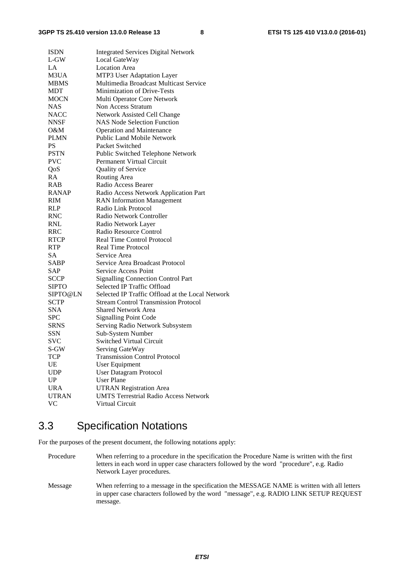| <b>ISDN</b>  | <b>Integrated Services Digital Network</b>       |
|--------------|--------------------------------------------------|
| L-GW         | Local GateWay                                    |
| LA           | <b>Location Area</b>                             |
| M3UA         | MTP3 User Adaptation Layer                       |
| <b>MBMS</b>  | Multimedia Broadcast Multicast Service           |
| <b>MDT</b>   | <b>Minimization of Drive-Tests</b>               |
| <b>MOCN</b>  | Multi Operator Core Network                      |
| <b>NAS</b>   | Non Access Stratum                               |
| <b>NACC</b>  | Network Assisted Cell Change                     |
| <b>NNSF</b>  | <b>NAS Node Selection Function</b>               |
| 0&M          | <b>Operation and Maintenance</b>                 |
| <b>PLMN</b>  | <b>Public Land Mobile Network</b>                |
| PS           | Packet Switched                                  |
| <b>PSTN</b>  | Public Switched Telephone Network                |
| <b>PVC</b>   | <b>Permanent Virtual Circuit</b>                 |
| QoS          | Quality of Service                               |
| <b>RA</b>    | Routing Area                                     |
| RAB          | Radio Access Bearer                              |
| RANAP        | Radio Access Network Application Part            |
| <b>RIM</b>   | <b>RAN</b> Information Management                |
| <b>RLP</b>   | Radio Link Protocol                              |
| <b>RNC</b>   | Radio Network Controller                         |
| <b>RNL</b>   | Radio Network Layer                              |
| <b>RRC</b>   | Radio Resource Control                           |
| <b>RTCP</b>  | <b>Real Time Control Protocol</b>                |
| RTP.         | Real Time Protocol                               |
| <b>SA</b>    | Service Area                                     |
| <b>SABP</b>  | Service Area Broadcast Protocol                  |
| SAP          | Service Access Point                             |
| <b>SCCP</b>  | <b>Signalling Connection Control Part</b>        |
| <b>SIPTO</b> | Selected IP Traffic Offload                      |
| SIPTO@LN     | Selected IP Traffic Offload at the Local Network |
| <b>SCTP</b>  | <b>Stream Control Transmission Protocol</b>      |
| <b>SNA</b>   | <b>Shared Network Area</b>                       |
| <b>SPC</b>   | <b>Signalling Point Code</b>                     |
| <b>SRNS</b>  | Serving Radio Network Subsystem                  |
| <b>SSN</b>   | Sub-System Number                                |
| SVC          | <b>Switched Virtual Circuit</b>                  |
| S-GW         | Serving GateWay                                  |
| <b>TCP</b>   | <b>Transmission Control Protocol</b>             |
| UE           | User Equipment                                   |
| <b>UDP</b>   | <b>User Datagram Protocol</b>                    |
| <b>UP</b>    | <b>User Plane</b>                                |
| <b>URA</b>   | <b>UTRAN Registration Area</b>                   |
| <b>UTRAN</b> | <b>UMTS Terrestrial Radio Access Network</b>     |
| <b>VC</b>    | Virtual Circuit                                  |
|              |                                                  |

# 3.3 Specification Notations

For the purposes of the present document, the following notations apply:

Procedure When referring to a procedure in the specification the Procedure Name is written with the first letters in each word in upper case characters followed by the word "procedure", e.g. Radio Network Layer procedures.

Message When referring to a message in the specification the MESSAGE NAME is written with all letters in upper case characters followed by the word "message", e.g. RADIO LINK SETUP REQUEST message.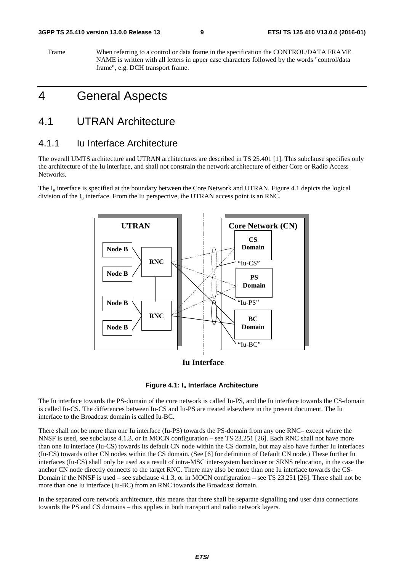#### **3GPP TS 25.410 version 13.0.0 Release 13 9 ETSI TS 125 410 V13.0.0 (2016-01)**

Frame When referring to a control or data frame in the specification the CONTROL/DATA FRAME NAME is written with all letters in upper case characters followed by the words "control/data frame", e.g. DCH transport frame.

# 4 General Aspects

### 4.1 UTRAN Architecture

### 4.1.1 Iu Interface Architecture

The overall UMTS architecture and UTRAN architectures are described in TS 25.401 [1]. This subclause specifies only the architecture of the Iu interface, and shall not constrain the network architecture of either Core or Radio Access Networks.

The  $I_{\text{u}}$  interface is specified at the boundary between the Core Network and UTRAN. Figure 4.1 depicts the logical division of the  $I_{\mu}$  interface. From the Iu perspective, the UTRAN access point is an RNC.



**Iu Interface**



The Iu interface towards the PS-domain of the core network is called Iu-PS, and the Iu interface towards the CS-domain is called Iu-CS. The differences between Iu-CS and Iu-PS are treated elsewhere in the present document. The Iu interface to the Broadcast domain is called Iu-BC.

There shall not be more than one Iu interface (Iu-PS) towards the PS-domain from any one RNC– except where the NNSF is used, see subclause 4.1.3, or in MOCN configuration – see TS 23.251 [26]. Each RNC shall not have more than one Iu interface (Iu-CS) towards its default CN node within the CS domain, but may also have further Iu interfaces (Iu-CS) towards other CN nodes within the CS domain. (See [6] for definition of Default CN node.) These further Iu interfaces (Iu-CS) shall only be used as a result of intra-MSC inter-system handover or SRNS relocation, in the case the anchor CN node directly connects to the target RNC. There may also be more than one Iu interface towards the CS-Domain if the NNSF is used – see subclause 4.1.3, or in MOCN configuration – see TS 23.251 [26]. There shall not be more than one Iu interface (Iu-BC) from an RNC towards the Broadcast domain.

In the separated core network architecture, this means that there shall be separate signalling and user data connections towards the PS and CS domains – this applies in both transport and radio network layers.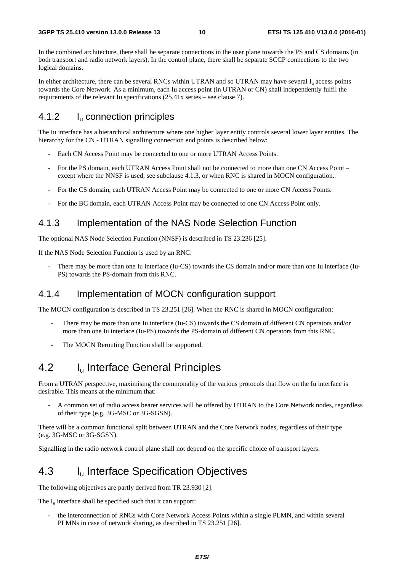In the combined architecture, there shall be separate connections in the user plane towards the PS and CS domains (in both transport and radio network layers). In the control plane, there shall be separate SCCP connections to the two logical domains.

In either architecture, there can be several RNCs within UTRAN and so UTRAN may have several  $I<sub>u</sub>$  access points towards the Core Network. As a minimum, each Iu access point (in UTRAN or CN) shall independently fulfil the requirements of the relevant Iu specifications (25.41x series – see clause 7).

#### 4.1.2 I<sub>u</sub> connection principles

The Iu interface has a hierarchical architecture where one higher layer entity controls several lower layer entities. The hierarchy for the CN - UTRAN signalling connection end points is described below:

- Each CN Access Point may be connected to one or more UTRAN Access Points.
- For the PS domain, each UTRAN Access Point shall not be connected to more than one CN Access Point except where the NNSF is used, see subclause 4.1.3, or when RNC is shared in MOCN configuration..
- For the CS domain, each UTRAN Access Point may be connected to one or more CN Access Points.
- For the BC domain, each UTRAN Access Point may be connected to one CN Access Point only.

#### 4.1.3 Implementation of the NAS Node Selection Function

The optional NAS Node Selection Function (NNSF) is described in TS 23.236 [25].

If the NAS Node Selection Function is used by an RNC:

There may be more than one Iu interface (Iu-CS) towards the CS domain and/or more than one Iu interface (Iu-PS) towards the PS-domain from this RNC.

#### 4.1.4 Implementation of MOCN configuration support

The MOCN configuration is described in TS 23.251 [26]. When the RNC is shared in MOCN configuration:

- There may be more than one Iu interface (Iu-CS) towards the CS domain of different CN operators and/or more than one Iu interface (Iu-PS) towards the PS-domain of different CN operators from this RNC.
- The MOCN Rerouting Function shall be supported.

# 4.2 **I<sub>u</sub>** Interface General Principles

From a UTRAN perspective, maximising the commonality of the various protocols that flow on the Iu interface is desirable. This means at the minimum that:

- A common set of radio access bearer services will be offered by UTRAN to the Core Network nodes, regardless of their type (e.g. 3G-MSC or 3G-SGSN).

There will be a common functional split between UTRAN and the Core Network nodes, regardless of their type (e.g. 3G-MSC or 3G-SGSN).

Signalling in the radio network control plane shall not depend on the specific choice of transport layers.

# 4.3 Iu Interface Specification Objectives

The following objectives are partly derived from TR 23.930 [2].

The  $I_u$  interface shall be specified such that it can support:

the interconnection of RNCs with Core Network Access Points within a single PLMN, and within several PLMNs in case of network sharing, as described in TS 23.251 [26].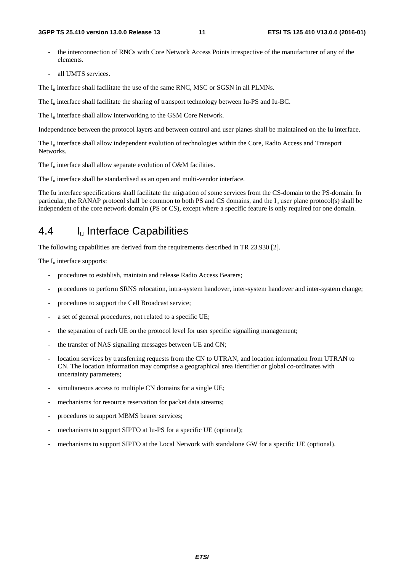- the interconnection of RNCs with Core Network Access Points irrespective of the manufacturer of any of the elements.
- all UMTS services.

The  $I_{\text{u}}$  interface shall facilitate the use of the same RNC, MSC or SGSN in all PLMNs.

The I<sub>u</sub> interface shall facilitate the sharing of transport technology between Iu-PS and Iu-BC.

The  $I_{\text{u}}$  interface shall allow interworking to the GSM Core Network.

Independence between the protocol layers and between control and user planes shall be maintained on the Iu interface.

The  $I_u$  interface shall allow independent evolution of technologies within the Core, Radio Access and Transport Networks.

The  $I_u$  interface shall allow separate evolution of O&M facilities.

The  $I_{\text{u}}$  interface shall be standardised as an open and multi-vendor interface.

The Iu interface specifications shall facilitate the migration of some services from the CS-domain to the PS-domain. In particular, the RANAP protocol shall be common to both PS and CS domains, and the I<sub>u</sub> user plane protocol(s) shall be independent of the core network domain (PS or CS), except where a specific feature is only required for one domain.

### 4.4 I<sub>u</sub> Interface Capabilities

The following capabilities are derived from the requirements described in TR 23.930 [2].

The  $I_u$  interface supports:

- procedures to establish, maintain and release Radio Access Bearers;
- procedures to perform SRNS relocation, intra-system handover, inter-system handover and inter-system change;
- procedures to support the Cell Broadcast service;
- a set of general procedures, not related to a specific UE;
- the separation of each UE on the protocol level for user specific signalling management;
- the transfer of NAS signalling messages between UE and CN;
- location services by transferring requests from the CN to UTRAN, and location information from UTRAN to CN. The location information may comprise a geographical area identifier or global co-ordinates with uncertainty parameters;
- simultaneous access to multiple CN domains for a single UE;
- mechanisms for resource reservation for packet data streams;
- procedures to support MBMS bearer services;
- mechanisms to support SIPTO at Iu-PS for a specific UE (optional);
- mechanisms to support SIPTO at the Local Network with standalone GW for a specific UE (optional).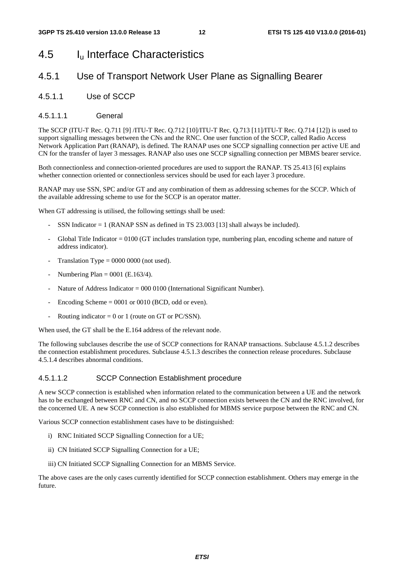# 4.5 Iu Interface Characteristics

### 4.5.1 Use of Transport Network User Plane as Signalling Bearer

4.5.1.1 Use of SCCP

#### 4.5.1.1.1 General

The SCCP (ITU-T Rec. Q.711 [9] /ITU-T Rec. Q.712 [10]/ITU-T Rec. Q.713 [11]/ITU-T Rec. Q.714 [12]) is used to support signalling messages between the CNs and the RNC. One user function of the SCCP, called Radio Access Network Application Part (RANAP), is defined. The RANAP uses one SCCP signalling connection per active UE and CN for the transfer of layer 3 messages. RANAP also uses one SCCP signalling connection per MBMS bearer service.

Both connectionless and connection-oriented procedures are used to support the RANAP. TS 25.413 [6] explains whether connection oriented or connectionless services should be used for each layer 3 procedure.

RANAP may use SSN, SPC and/or GT and any combination of them as addressing schemes for the SCCP. Which of the available addressing scheme to use for the SCCP is an operator matter.

When GT addressing is utilised, the following settings shall be used:

- SSN Indicator = 1 (RANAP SSN as defined in TS 23.003 [13] shall always be included).
- Global Title Indicator  $= 0100$  (GT includes translation type, numbering plan, encoding scheme and nature of address indicator).
- Translation Type =  $0000 0000$  (not used).
- Numbering Plan =  $0001$  (E.163/4).
- Nature of Address Indicator = 000 0100 (International Significant Number).
- Encoding Scheme  $= 0001$  or 0010 (BCD, odd or even).
- Routing indicator =  $0$  or 1 (route on GT or PC/SSN).

When used, the GT shall be the E.164 address of the relevant node.

The following subclauses describe the use of SCCP connections for RANAP transactions. Subclause 4.5.1.2 describes the connection establishment procedures. Subclause 4.5.1.3 describes the connection release procedures. Subclause 4.5.1.4 describes abnormal conditions.

#### 4.5.1.1.2 SCCP Connection Establishment procedure

A new SCCP connection is established when information related to the communication between a UE and the network has to be exchanged between RNC and CN, and no SCCP connection exists between the CN and the RNC involved, for the concerned UE. A new SCCP connection is also established for MBMS service purpose between the RNC and CN.

Various SCCP connection establishment cases have to be distinguished:

- i) RNC Initiated SCCP Signalling Connection for a UE;
- ii) CN Initiated SCCP Signalling Connection for a UE;
- iii) CN Initiated SCCP Signalling Connection for an MBMS Service.

The above cases are the only cases currently identified for SCCP connection establishment. Others may emerge in the future.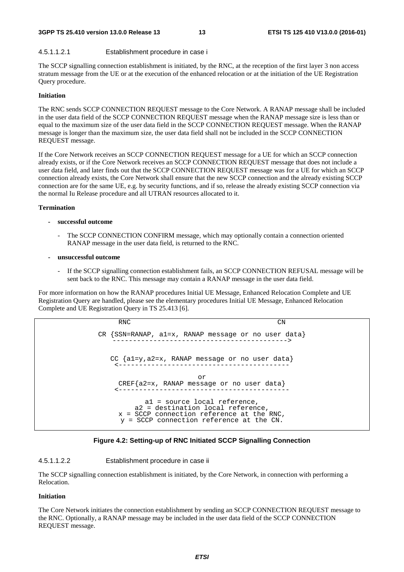#### 4.5.1.1.2.1 Establishment procedure in case i

The SCCP signalling connection establishment is initiated, by the RNC, at the reception of the first layer 3 non access stratum message from the UE or at the execution of the enhanced relocation or at the initiation of the UE Registration Query procedure.

#### **Initiation**

The RNC sends SCCP CONNECTION REQUEST message to the Core Network. A RANAP message shall be included in the user data field of the SCCP CONNECTION REQUEST message when the RANAP message size is less than or equal to the maximum size of the user data field in the SCCP CONNECTION REQUEST message. When the RANAP message is longer than the maximum size, the user data field shall not be included in the SCCP CONNECTION REQUEST message.

If the Core Network receives an SCCP CONNECTION REQUEST message for a UE for which an SCCP connection already exists, or if the Core Network receives an SCCP CONNECTION REQUEST message that does not include a user data field, and later finds out that the SCCP CONNECTION REQUEST message was for a UE for which an SCCP connection already exists, the Core Network shall ensure that the new SCCP connection and the already existing SCCP connection are for the same UE, e.g. by security functions, and if so, release the already existing SCCP connection via the normal Iu Release procedure and all UTRAN resources allocated to it.

#### **Termination**

- **successful outcome** 
	- The SCCP CONNECTION CONFIRM message, which may optionally contain a connection oriented RANAP message in the user data field, is returned to the RNC.
- **unsuccessful outcome** 
	- If the SCCP signalling connection establishment fails, an SCCP CONNECTION REFUSAL message will be sent back to the RNC. This message may contain a RANAP message in the user data field.

For more information on how the RANAP procedures Initial UE Message, Enhanced Relocation Complete and UE Registration Query are handled, please see the elementary procedures Initial UE Message, Enhanced Relocation Complete and UE Registration Query in TS 25.413 [6].

```
RNC CN
CR {SSN=RANAP, a1=x, RANAP message or no user data} 
                     -------------------------------------------> 
   CC {a1=y,a2=x, RANAP message or no user data} 
       <------------------------------------------ 
                        or 
    CREF{a2=x, RANAP message or no user data} 
    <------------------------------------------ 
            a1 = source local reference, 
         a2 = destination local reference, 
     x = SCCP connection reference at the RNC, 
     y = SCCP connection reference at the CN.
```


#### 4.5.1.1.2.2 Establishment procedure in case ii

The SCCP signalling connection establishment is initiated, by the Core Network, in connection with performing a Relocation.

#### **Initiation**

The Core Network initiates the connection establishment by sending an SCCP CONNECTION REQUEST message to the RNC. Optionally, a RANAP message may be included in the user data field of the SCCP CONNECTION REQUEST message.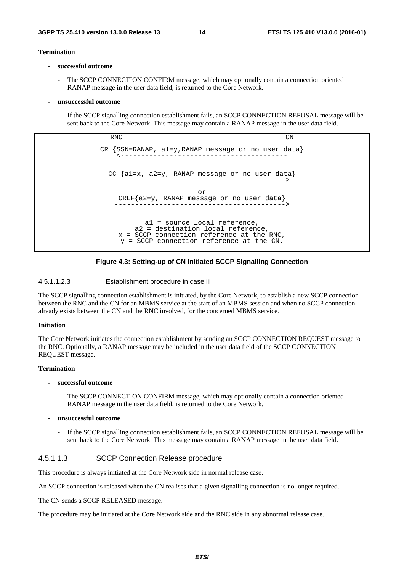#### **Termination**

- **successful outcome** 
	- The SCCP CONNECTION CONFIRM message, which may optionally contain a connection oriented RANAP message in the user data field, is returned to the Core Network.
- **unsuccessful outcome** 
	- If the SCCP signalling connection establishment fails, an SCCP CONNECTION REFUSAL message will be sent back to the Core Network. This message may contain a RANAP message in the user data field.

RNC CN CR {SSN=RANAP, a1=y,RANAP message or no user data} <----------------------------------------- CC {a1=x, a2=y, RANAP message or no user data} ------------------------------------------> or CREF{a2=y, RANAP message or no user data} ------------------------------------------> a1 = source local reference, a2 = destination local reference, x = SCCP connection reference at the RNC, y = SCCP connection reference at the CN.

**Figure 4.3: Setting-up of CN Initiated SCCP Signalling Connection** 

#### 4.5.1.1.2.3 Establishment procedure in case iii

The SCCP signalling connection establishment is initiated, by the Core Network, to establish a new SCCP connection between the RNC and the CN for an MBMS service at the start of an MBMS session and when no SCCP connection already exists between the CN and the RNC involved, for the concerned MBMS service.

#### **Initiation**

The Core Network initiates the connection establishment by sending an SCCP CONNECTION REQUEST message to the RNC. Optionally, a RANAP message may be included in the user data field of the SCCP CONNECTION REQUEST message.

#### **Termination**

- **successful outcome** 
	- The SCCP CONNECTION CONFIRM message, which may optionally contain a connection oriented RANAP message in the user data field, is returned to the Core Network.
- **unsuccessful outcome** 
	- If the SCCP signalling connection establishment fails, an SCCP CONNECTION REFUSAL message will be sent back to the Core Network. This message may contain a RANAP message in the user data field.

#### 4.5.1.1.3 SCCP Connection Release procedure

This procedure is always initiated at the Core Network side in normal release case.

An SCCP connection is released when the CN realises that a given signalling connection is no longer required.

The CN sends a SCCP RELEASED message.

The procedure may be initiated at the Core Network side and the RNC side in any abnormal release case.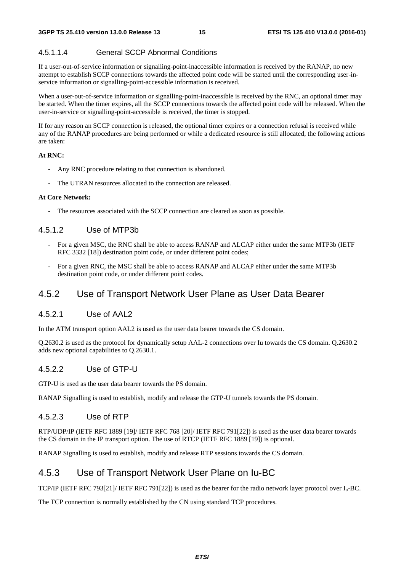#### 4.5.1.1.4 General SCCP Abnormal Conditions

If a user-out-of-service information or signalling-point-inaccessible information is received by the RANAP, no new attempt to establish SCCP connections towards the affected point code will be started until the corresponding user-inservice information or signalling-point-accessible information is received.

When a user-out-of-service information or signalling-point-inaccessible is received by the RNC, an optional timer may be started. When the timer expires, all the SCCP connections towards the affected point code will be released. When the user-in-service or signalling-point-accessible is received, the timer is stopped.

If for any reason an SCCP connection is released, the optional timer expires or a connection refusal is received while any of the RANAP procedures are being performed or while a dedicated resource is still allocated, the following actions are taken:

#### **At RNC:**

- Any RNC procedure relating to that connection is abandoned.
- The UTRAN resources allocated to the connection are released.

#### **At Core Network:**

- The resources associated with the SCCP connection are cleared as soon as possible.

#### 4.5.1.2 Use of MTP3b

- For a given MSC, the RNC shall be able to access RANAP and ALCAP either under the same MTP3b (IETF RFC 3332 [18]) destination point code, or under different point codes;
- For a given RNC, the MSC shall be able to access RANAP and ALCAP either under the same MTP3b destination point code, or under different point codes.

#### 4.5.2 Use of Transport Network User Plane as User Data Bearer

#### 4.5.2.1 Use of AAL2

In the ATM transport option AAL2 is used as the user data bearer towards the CS domain.

Q.2630.2 is used as the protocol for dynamically setup AAL-2 connections over Iu towards the CS domain. Q.2630.2 adds new optional capabilities to Q.2630.1.

#### 4.5.2.2 Use of GTP-U

GTP-U is used as the user data bearer towards the PS domain.

RANAP Signalling is used to establish, modify and release the GTP-U tunnels towards the PS domain.

#### 4.5.2.3 Use of RTP

RTP/UDP/IP (IETF RFC 1889 [19]/ IETF RFC 768 [20]/ IETF RFC 791[22]) is used as the user data bearer towards the CS domain in the IP transport option. The use of RTCP (IETF RFC 1889 [19]) is optional.

RANAP Signalling is used to establish, modify and release RTP sessions towards the CS domain.

### 4.5.3 Use of Transport Network User Plane on Iu-BC

TCP/IP (IETF RFC 793[21]/ IETF RFC 791[22]) is used as the bearer for the radio network layer protocol over Iu-BC.

The TCP connection is normally established by the CN using standard TCP procedures.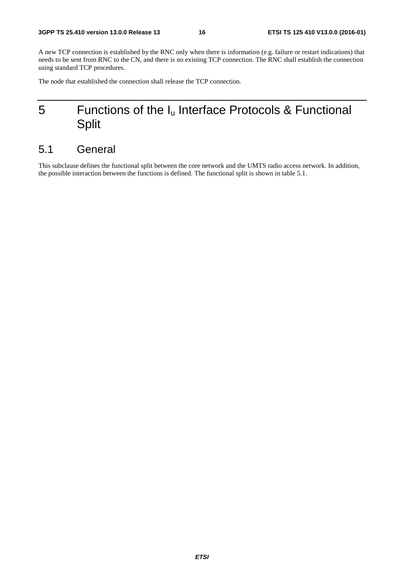A new TCP connection is established by the RNC only when there is information (e.g. failure or restart indications) that needs to be sent from RNC to the CN, and there is no existing TCP connection. The RNC shall establish the connection using standard TCP procedures.

The node that established the connection shall release the TCP connection.

# 5 Functions of the  $I_u$  Interface Protocols & Functional Split

# 5.1 General

This subclause defines the functional split between the core network and the UMTS radio access network. In addition, the possible interaction between the functions is defined. The functional split is shown in table 5.1.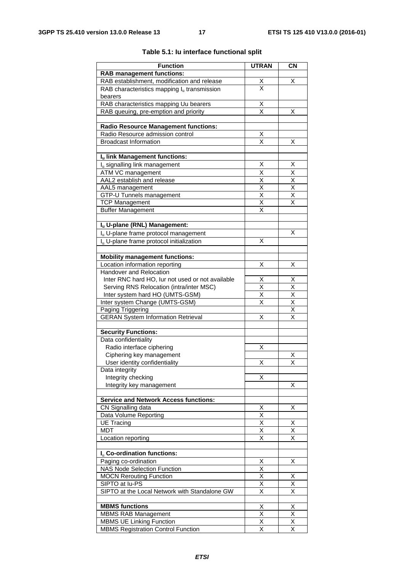| <b>Function</b>                                      | <b>UTRAN</b>                                       | <b>CN</b>                                          |
|------------------------------------------------------|----------------------------------------------------|----------------------------------------------------|
| <b>RAB management functions:</b>                     |                                                    |                                                    |
| RAB establishment, modification and release          |                                                    | х                                                  |
| RAB characteristics mapping $I_u$ transmission       | $\frac{\mathsf{X}}{\mathsf{X}}$                    |                                                    |
| bearers                                              |                                                    |                                                    |
| RAB characteristics mapping Uu bearers               |                                                    |                                                    |
| RAB queuing, pre-emption and priority                | $\frac{\mathsf{X}}{\mathsf{X}}$                    | х                                                  |
|                                                      |                                                    |                                                    |
| <b>Radio Resource Management functions:</b>          |                                                    |                                                    |
| Radio Resource admission control                     | <u>Х</u>                                           |                                                    |
| <b>Broadcast Information</b>                         | $\overline{\mathsf{x}}$                            | X                                                  |
|                                                      |                                                    |                                                    |
| Iu link Management functions:                        |                                                    |                                                    |
| I <sub>u</sub> signalling link management            | х                                                  | Х                                                  |
| ATM VC management                                    | Χ                                                  | Χ                                                  |
| AAL2 establish and release                           | $\overline{\mathsf{x}}$                            | $\overline{\mathsf{x}}$                            |
| AAL5 management                                      | $\overline{\mathsf{x}}$                            | $\overline{\mathsf{x}}$                            |
| GTP-U Tunnels management                             | Χ                                                  | Χ                                                  |
| <b>TCP Management</b>                                | X                                                  | X                                                  |
| <b>Buffer Management</b>                             | X                                                  |                                                    |
|                                                      |                                                    |                                                    |
| Iu U-plane (RNL) Management:                         |                                                    |                                                    |
| I <sub>u</sub> U-plane frame protocol management     |                                                    | x                                                  |
| I <sub>u</sub> U-plane frame protocol initialization | X                                                  |                                                    |
|                                                      |                                                    |                                                    |
| <b>Mobility management functions:</b>                |                                                    |                                                    |
| Location information reporting                       | Χ                                                  | Х                                                  |
| Handover and Relocation                              |                                                    |                                                    |
| Inter RNC hard HO, lur not used or not available     | Χ                                                  | X                                                  |
| Serving RNS Relocation (intra/inter MSC)             | $\overline{\mathsf{x}}$<br>$\overline{\mathsf{x}}$ | $\overline{\mathsf{x}}$<br>$\overline{\mathsf{x}}$ |
| Inter system hard HO (UMTS-GSM)                      | Χ                                                  | X                                                  |
| Inter system Change (UMTS-GSM)<br>Paging Triggering  |                                                    | $\overline{\mathsf{x}}$                            |
| <b>GERAN System Information Retrieval</b>            | х                                                  | X                                                  |
|                                                      |                                                    |                                                    |
| <b>Security Functions:</b>                           |                                                    |                                                    |
| Data confidentiality                                 |                                                    |                                                    |
| Radio interface ciphering                            | Х                                                  |                                                    |
| Ciphering key management                             |                                                    | Х                                                  |
| User identity confidentiality                        | X                                                  | $\overline{\mathsf{x}}$                            |
| Data integrity                                       |                                                    |                                                    |
| Integrity checking                                   | х                                                  |                                                    |
| Integrity key management                             |                                                    | х                                                  |
|                                                      |                                                    |                                                    |
| <b>Service and Network Access functions:</b>         |                                                    |                                                    |
| CN Signalling data                                   | $\frac{\mathsf{X}}{\mathsf{X}}$                    | Χ                                                  |
| Data Volume Reporting                                |                                                    |                                                    |
| <b>UE Tracing</b>                                    | $\overline{\mathsf{x}}$                            | х                                                  |
| <b>MDT</b>                                           | X<br>X                                             | Χ<br>X                                             |
| Location reporting                                   |                                                    |                                                    |
| I <sub>u</sub> Co-ordination functions:              |                                                    |                                                    |
| Paging co-ordination                                 |                                                    | х                                                  |
| <b>NAS Node Selection Function</b>                   | Χ<br>$\overline{\mathsf{x}}$                       |                                                    |
| <b>MOCN Rerouting Function</b>                       | Χ                                                  | х                                                  |
| SIPTO at lu-PS                                       | X                                                  | X                                                  |
| SIPTO at the Local Network with Standalone GW        | X                                                  | Χ                                                  |
|                                                      |                                                    |                                                    |
| <b>MBMS functions</b>                                | X                                                  | X                                                  |
| <b>MBMS RAB Management</b>                           | $\overline{\mathsf{x}}$                            | $\overline{\mathsf{x}}$                            |
| <b>MBMS UE Linking Function</b>                      | $\overline{\mathsf{x}}$                            | $\overline{\mathsf{x}}$                            |
| <b>MBMS Registration Control Function</b>            | X                                                  | X                                                  |
|                                                      |                                                    |                                                    |

#### **Table 5.1: Iu interface functional split**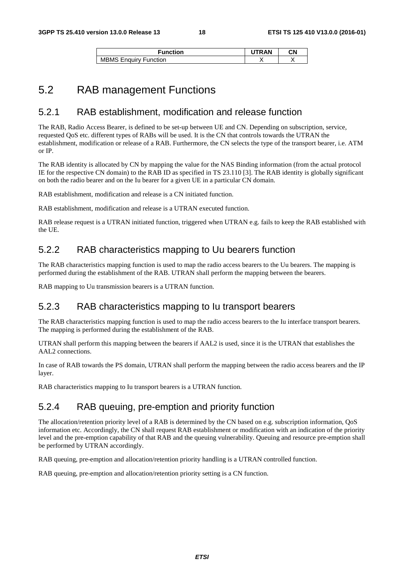| Function                               | <b>RAN</b> | CΝ |  |
|----------------------------------------|------------|----|--|
| <b>MBMS</b><br><b>Enguiry Function</b> |            |    |  |

### 5.2 RAB management Functions

#### 5.2.1 RAB establishment, modification and release function

The RAB, Radio Access Bearer, is defined to be set-up between UE and CN. Depending on subscription, service, requested QoS etc. different types of RABs will be used. It is the CN that controls towards the UTRAN the establishment, modification or release of a RAB. Furthermore, the CN selects the type of the transport bearer, i.e. ATM or IP.

The RAB identity is allocated by CN by mapping the value for the NAS Binding information (from the actual protocol IE for the respective CN domain) to the RAB ID as specified in TS 23.110 [3]. The RAB identity is globally significant on both the radio bearer and on the Iu bearer for a given UE in a particular CN domain.

RAB establishment, modification and release is a CN initiated function.

RAB establishment, modification and release is a UTRAN executed function.

RAB release request is a UTRAN initiated function, triggered when UTRAN e.g. fails to keep the RAB established with the UE.

### 5.2.2 RAB characteristics mapping to Uu bearers function

The RAB characteristics mapping function is used to map the radio access bearers to the Uu bearers. The mapping is performed during the establishment of the RAB. UTRAN shall perform the mapping between the bearers.

RAB mapping to Uu transmission bearers is a UTRAN function.

### 5.2.3 RAB characteristics mapping to Iu transport bearers

The RAB characteristics mapping function is used to map the radio access bearers to the Iu interface transport bearers. The mapping is performed during the establishment of the RAB.

UTRAN shall perform this mapping between the bearers if AAL2 is used, since it is the UTRAN that establishes the AAL2 connections.

In case of RAB towards the PS domain, UTRAN shall perform the mapping between the radio access bearers and the IP layer.

RAB characteristics mapping to Iu transport bearers is a UTRAN function.

### 5.2.4 RAB queuing, pre-emption and priority function

The allocation/retention priority level of a RAB is determined by the CN based on e.g. subscription information, QoS information etc. Accordingly, the CN shall request RAB establishment or modification with an indication of the priority level and the pre-emption capability of that RAB and the queuing vulnerability. Queuing and resource pre-emption shall be performed by UTRAN accordingly.

RAB queuing, pre-emption and allocation/retention priority handling is a UTRAN controlled function.

RAB queuing, pre-emption and allocation/retention priority setting is a CN function.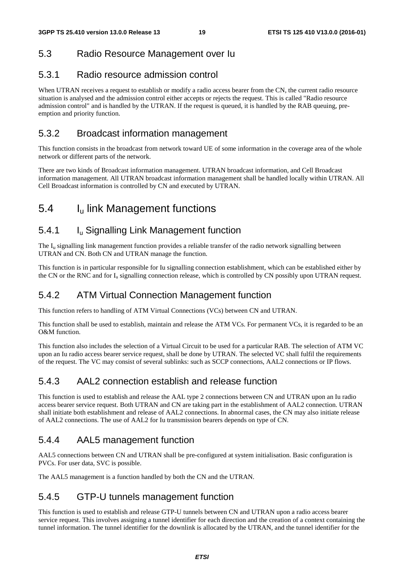#### 5.3 Radio Resource Management over Iu

#### 5.3.1 Radio resource admission control

When UTRAN receives a request to establish or modify a radio access bearer from the CN, the current radio resource situation is analysed and the admission control either accepts or rejects the request. This is called "Radio resource admission control" and is handled by the UTRAN. If the request is queued, it is handled by the RAB queuing, preemption and priority function.

#### 5.3.2 Broadcast information management

This function consists in the broadcast from network toward UE of some information in the coverage area of the whole network or different parts of the network.

There are two kinds of Broadcast information management. UTRAN broadcast information, and Cell Broadcast information management. All UTRAN broadcast information management shall be handled locally within UTRAN. All Cell Broadcast information is controlled by CN and executed by UTRAN.

### 5.4 Iu link Management functions

#### 5.4.1 Iu Signalling Link Management function

The  $I_{\text{u}}$  signalling link management function provides a reliable transfer of the radio network signalling between UTRAN and CN. Both CN and UTRAN manage the function.

This function is in particular responsible for Iu signalling connection establishment, which can be established either by the CN or the RNC and for  $I_u$  signalling connection release, which is controlled by CN possibly upon UTRAN request.

### 5.4.2 ATM Virtual Connection Management function

This function refers to handling of ATM Virtual Connections (VCs) between CN and UTRAN.

This function shall be used to establish, maintain and release the ATM VCs. For permanent VCs, it is regarded to be an O&M function.

This function also includes the selection of a Virtual Circuit to be used for a particular RAB. The selection of ATM VC upon an Iu radio access bearer service request, shall be done by UTRAN. The selected VC shall fulfil the requirements of the request. The VC may consist of several sublinks: such as SCCP connections, AAL2 connections or IP flows.

#### 5.4.3 AAL2 connection establish and release function

This function is used to establish and release the AAL type 2 connections between CN and UTRAN upon an Iu radio access bearer service request. Both UTRAN and CN are taking part in the establishment of AAL2 connection. UTRAN shall initiate both establishment and release of AAL2 connections. In abnormal cases, the CN may also initiate release of AAL2 connections. The use of AAL2 for Iu transmission bearers depends on type of CN.

### 5.4.4 AAL5 management function

AAL5 connections between CN and UTRAN shall be pre-configured at system initialisation. Basic configuration is PVCs. For user data, SVC is possible.

The AAL5 management is a function handled by both the CN and the UTRAN.

### 5.4.5 GTP-U tunnels management function

This function is used to establish and release GTP-U tunnels between CN and UTRAN upon a radio access bearer service request. This involves assigning a tunnel identifier for each direction and the creation of a context containing the tunnel information. The tunnel identifier for the downlink is allocated by the UTRAN, and the tunnel identifier for the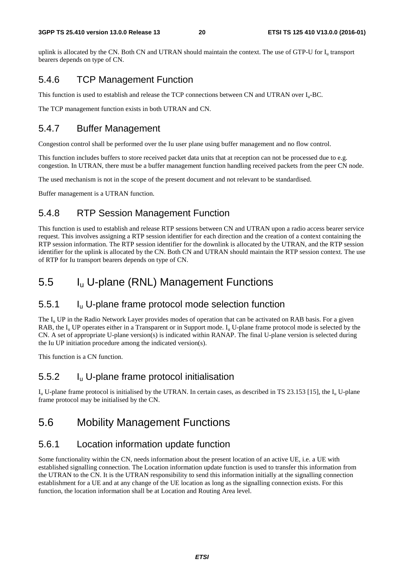uplink is allocated by the CN. Both CN and UTRAN should maintain the context. The use of GTP-U for I<sub>n</sub> transport bearers depends on type of CN.

### 5.4.6 TCP Management Function

This function is used to establish and release the TCP connections between CN and UTRAN over  $I_{\rm u}$ -BC.

The TCP management function exists in both UTRAN and CN.

### 5.4.7 Buffer Management

Congestion control shall be performed over the Iu user plane using buffer management and no flow control.

This function includes buffers to store received packet data units that at reception can not be processed due to e.g. congestion. In UTRAN, there must be a buffer management function handling received packets from the peer CN node.

The used mechanism is not in the scope of the present document and not relevant to be standardised.

Buffer management is a UTRAN function.

### 5.4.8 RTP Session Management Function

This function is used to establish and release RTP sessions between CN and UTRAN upon a radio access bearer service request. This involves assigning a RTP session identifier for each direction and the creation of a context containing the RTP session information. The RTP session identifier for the downlink is allocated by the UTRAN, and the RTP session identifier for the uplink is allocated by the CN. Both CN and UTRAN should maintain the RTP session context. The use of RTP for Iu transport bearers depends on type of CN.

# 5.5 Iu U-plane (RNL) Management Functions

### 5.5.1 Iu U-plane frame protocol mode selection function

The  $I_{\rm u}$  UP in the Radio Network Layer provides modes of operation that can be activated on RAB basis. For a given RAB, the  $I_u$  UP operates either in a Transparent or in Support mode.  $I_u$  U-plane frame protocol mode is selected by the CN. A set of appropriate U-plane version(s) is indicated within RANAP. The final U-plane version is selected during the Iu UP initiation procedure among the indicated version(s).

This function is a CN function.

### 5.5.2 Iu U-plane frame protocol initialisation

 $I_{\rm n}$  U-plane frame protocol is initialised by the UTRAN. In certain cases, as described in TS 23.153 [15], the  $I_{\rm u}$  U-plane frame protocol may be initialised by the CN.

# 5.6 Mobility Management Functions

### 5.6.1 Location information update function

Some functionality within the CN, needs information about the present location of an active UE, i.e. a UE with established signalling connection. The Location information update function is used to transfer this information from the UTRAN to the CN. It is the UTRAN responsibility to send this information initially at the signalling connection establishment for a UE and at any change of the UE location as long as the signalling connection exists. For this function, the location information shall be at Location and Routing Area level.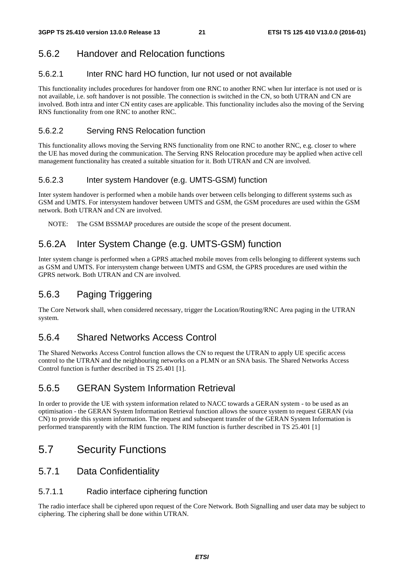### 5.6.2 Handover and Relocation functions

#### 5.6.2.1 Inter RNC hard HO function, Iur not used or not available

This functionality includes procedures for handover from one RNC to another RNC when Iur interface is not used or is not available, i.e. soft handover is not possible. The connection is switched in the CN, so both UTRAN and CN are involved. Both intra and inter CN entity cases are applicable. This functionality includes also the moving of the Serving RNS functionality from one RNC to another RNC.

#### 5.6.2.2 Serving RNS Relocation function

This functionality allows moving the Serving RNS functionality from one RNC to another RNC, e.g. closer to where the UE has moved during the communication. The Serving RNS Relocation procedure may be applied when active cell management functionality has created a suitable situation for it. Both UTRAN and CN are involved.

#### 5.6.2.3 Inter system Handover (e.g. UMTS-GSM) function

Inter system handover is performed when a mobile hands over between cells belonging to different systems such as GSM and UMTS. For intersystem handover between UMTS and GSM, the GSM procedures are used within the GSM network. Both UTRAN and CN are involved.

NOTE: The GSM BSSMAP procedures are outside the scope of the present document.

### 5.6.2A Inter System Change (e.g. UMTS-GSM) function

Inter system change is performed when a GPRS attached mobile moves from cells belonging to different systems such as GSM and UMTS. For intersystem change between UMTS and GSM, the GPRS procedures are used within the GPRS network. Both UTRAN and CN are involved.

### 5.6.3 Paging Triggering

The Core Network shall, when considered necessary, trigger the Location/Routing/RNC Area paging in the UTRAN system.

#### 5.6.4 Shared Networks Access Control

The Shared Networks Access Control function allows the CN to request the UTRAN to apply UE specific access control to the UTRAN and the neighbouring networks on a PLMN or an SNA basis. The Shared Networks Access Control function is further described in TS 25.401 [1].

#### 5.6.5 GERAN System Information Retrieval

In order to provide the UE with system information related to NACC towards a GERAN system - to be used as an optimisation - the GERAN System Information Retrieval function allows the source system to request GERAN (via CN) to provide this system information. The request and subsequent transfer of the GERAN System Information is performed transparently with the RIM function. The RIM function is further described in TS 25.401 [1]

# 5.7 Security Functions

#### 5.7.1 Data Confidentiality

#### 5.7.1.1 Radio interface ciphering function

The radio interface shall be ciphered upon request of the Core Network. Both Signalling and user data may be subject to ciphering. The ciphering shall be done within UTRAN.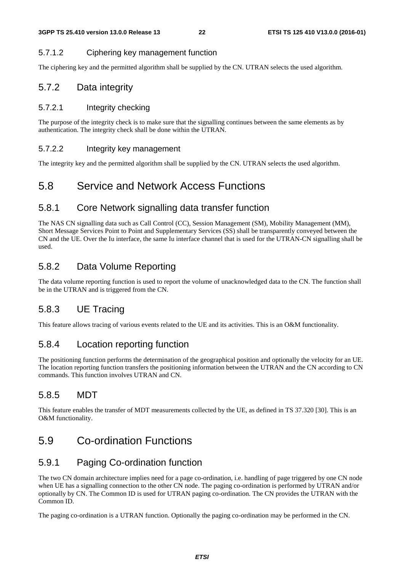#### 5.7.1.2 Ciphering key management function

The ciphering key and the permitted algorithm shall be supplied by the CN. UTRAN selects the used algorithm.

#### 5.7.2 Data integrity

#### 5.7.2.1 Integrity checking

The purpose of the integrity check is to make sure that the signalling continues between the same elements as by authentication. The integrity check shall be done within the UTRAN.

#### 5.7.2.2 Integrity key management

The integrity key and the permitted algorithm shall be supplied by the CN. UTRAN selects the used algorithm.

### 5.8 Service and Network Access Functions

#### 5.8.1 Core Network signalling data transfer function

The NAS CN signalling data such as Call Control (CC), Session Management (SM), Mobility Management (MM), Short Message Services Point to Point and Supplementary Services (SS) shall be transparently conveyed between the CN and the UE. Over the Iu interface, the same Iu interface channel that is used for the UTRAN-CN signalling shall be used.

### 5.8.2 Data Volume Reporting

The data volume reporting function is used to report the volume of unacknowledged data to the CN. The function shall be in the UTRAN and is triggered from the CN.

### 5.8.3 UE Tracing

This feature allows tracing of various events related to the UE and its activities. This is an O&M functionality.

#### 5.8.4 Location reporting function

The positioning function performs the determination of the geographical position and optionally the velocity for an UE. The location reporting function transfers the positioning information between the UTRAN and the CN according to CN commands. This function involves UTRAN and CN.

### 5.8.5 MDT

This feature enables the transfer of MDT measurements collected by the UE, as defined in TS 37.320 [30]. This is an O&M functionality.

### 5.9 Co-ordination Functions

### 5.9.1 Paging Co-ordination function

The two CN domain architecture implies need for a page co-ordination, i.e. handling of page triggered by one CN node when UE has a signalling connection to the other CN node. The paging co-ordination is performed by UTRAN and/or optionally by CN. The Common ID is used for UTRAN paging co-ordination. The CN provides the UTRAN with the Common ID.

The paging co-ordination is a UTRAN function. Optionally the paging co-ordination may be performed in the CN.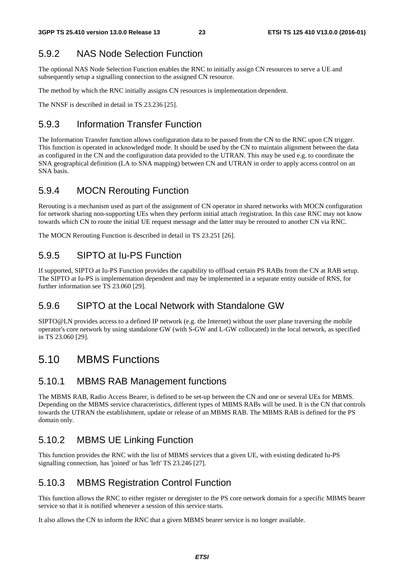### 5.9.2 NAS Node Selection Function

The optional NAS Node Selection Function enables the RNC to initially assign CN resources to serve a UE and subsequently setup a signalling connection to the assigned CN resource.

The method by which the RNC initially assigns CN resources is implementation dependent.

The NNSF is described in detail in TS 23.236 [25].

### 5.9.3 Information Transfer Function

The Information Transfer function allows configuration data to be passed from the CN to the RNC upon CN trigger. This function is operated in acknowledged mode. It should be used by the CN to maintain alignment between the data as configured in the CN and the configuration data provided to the UTRAN. This may be used e.g. to coordinate the SNA geographical definition (LA to SNA mapping) between CN and UTRAN in order to apply access control on an SNA basis.

#### 5.9.4 MOCN Rerouting Function

Rerouting is a mechanism used as part of the assignment of CN operator in shared networks with MOCN configuration for network sharing non-supporting UEs when they perform initial attach /registration. In this case RNC may not know towards which CN to route the initial UE request message and the latter may be rerouted to another CN via RNC.

The MOCN Rerouting Function is described in detail in TS 23.251 [26].

#### 5.9.5 SIPTO at Iu-PS Function

If supported, SIPTO at Iu-PS Function provides the capability to offload certain PS RABs from the CN at RAB setup. The SIPTO at Iu-PS is implementation dependent and may be implemented in a separate entity outside of RNS, for further information see TS 23.060 [29].

#### 5.9.6 SIPTO at the Local Network with Standalone GW

SIPTO@LN provides access to a defined IP network (e.g. the Internet) without the user plane traversing the mobile operator's core network by using standalone GW (with S-GW and L-GW collocated) in the local network, as specified in TS 23.060 [29].

### 5.10 MBMS Functions

#### 5.10.1 MBMS RAB Management functions

The MBMS RAB, Radio Access Bearer, is defined to be set-up between the CN and one or several UEs for MBMS. Depending on the MBMS service characteristics, different types of MBMS RABs will be used. It is the CN that controls towards the UTRAN the establishment, update or release of an MBMS RAB. The MBMS RAB is defined for the PS domain only.

#### 5.10.2 MBMS UE Linking Function

This function provides the RNC with the list of MBMS services that a given UE, with existing dedicated Iu-PS signalling connection, has 'joined' or has 'left' TS 23.246 [27].

#### 5.10.3 MBMS Registration Control Function

This function allows the RNC to either register or deregister to the PS core network domain for a specific MBMS bearer service so that it is notified whenever a session of this service starts.

It also allows the CN to inform the RNC that a given MBMS bearer service is no longer available.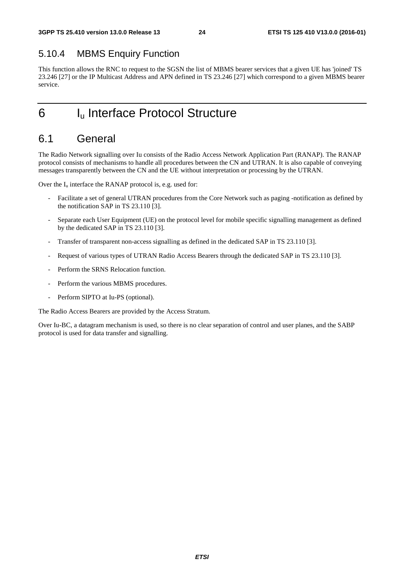#### 5.10.4 MBMS Enquiry Function

This function allows the RNC to request to the SGSN the list of MBMS bearer services that a given UE has 'joined' TS 23.246 [27] or the IP Multicast Address and APN defined in TS 23.246 [27] which correspond to a given MBMS bearer service.

# 6 I<sub>u</sub> Interface Protocol Structure

### 6.1 General

The Radio Network signalling over Iu consists of the Radio Access Network Application Part (RANAP). The RANAP protocol consists of mechanisms to handle all procedures between the CN and UTRAN. It is also capable of conveying messages transparently between the CN and the UE without interpretation or processing by the UTRAN.

Over the  $I_u$  interface the RANAP protocol is, e.g. used for:

- Facilitate a set of general UTRAN procedures from the Core Network such as paging -notification as defined by the notification SAP in TS 23.110 [3].
- Separate each User Equipment (UE) on the protocol level for mobile specific signalling management as defined by the dedicated SAP in TS 23.110 [3].
- Transfer of transparent non-access signalling as defined in the dedicated SAP in TS 23.110 [3].
- Request of various types of UTRAN Radio Access Bearers through the dedicated SAP in TS 23.110 [3].
- Perform the SRNS Relocation function.
- Perform the various MBMS procedures.
- Perform SIPTO at Iu-PS (optional).

The Radio Access Bearers are provided by the Access Stratum.

Over Iu-BC, a datagram mechanism is used, so there is no clear separation of control and user planes, and the SABP protocol is used for data transfer and signalling.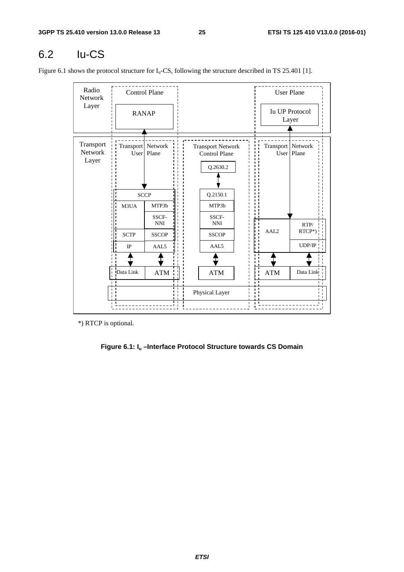# 6.2 Iu-CS

Figure 6.1 shows the protocol structure for  $I_u$ -CS, following the structure described in TS 25.401 [1].

| Radio<br>Network              | <b>Control Plane</b> |                     |  |                                                              |                | <b>User Plane</b>         |                                |
|-------------------------------|----------------------|---------------------|--|--------------------------------------------------------------|----------------|---------------------------|--------------------------------|
| Layer                         | <b>RANAP</b>         |                     |  |                                                              |                |                           | <b>Iu UP Protocol</b><br>Layer |
| Transport<br>Network<br>Layer | Transport Network    | User   Plane        |  | <b>Transport Network</b><br><b>Control Plane</b><br>Q.2630.2 |                | Transport Network<br>User | Plane                          |
|                               | <b>SCCP</b>          |                     |  | Q.2150.1                                                     |                |                           |                                |
|                               | M3UA                 | MTP3b               |  | MTP3b                                                        |                |                           |                                |
|                               |                      | SSCF-<br><b>NNI</b> |  | SSCF-<br><b>NNI</b>                                          |                |                           | RTP/                           |
|                               | <b>SCTP</b>          | <b>SSCOP</b>        |  | <b>SSCOP</b>                                                 |                | AAL <sub>2</sub>          | RTCP*)                         |
|                               | $_{\rm IP}$          | AAL5                |  | AAL5                                                         |                |                           | UDP/IP                         |
|                               |                      |                     |  |                                                              |                |                           |                                |
|                               | Data Link            | <b>ATM</b>          |  | <b>ATM</b>                                                   |                | <b>ATM</b>                | Data Link                      |
|                               | n 11                 |                     |  | Physical Layer                                               | $\blacksquare$ |                           |                                |

\*) RTCP is optional.

#### **Figure 6.1: Iu –Interface Protocol Structure towards CS Domain**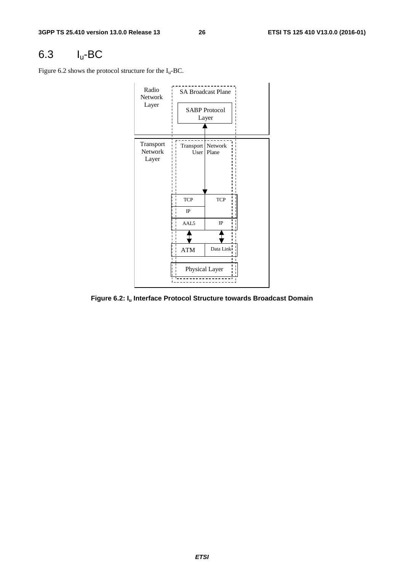# 6.3 Iu-BC

Figure 6.2 shows the protocol structure for the  $I_u$ -BC.



**Figure 6.2: Iu Interface Protocol Structure towards Broadcast Domain**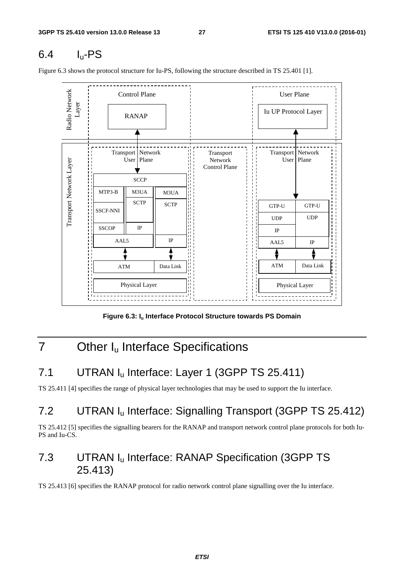# 6.4 Iu-PS

Figure 6.3 shows the protocol structure for Iu-PS, following the structure described in TS 25.401 [1].



Figure 6.3: I<sub>u</sub> Interface Protocol Structure towards PS Domain

# 7 Other I<sub>u</sub> Interface Specifications

# 7.1 UTRAN I<sub>u</sub> Interface: Layer 1 (3GPP TS 25.411)

TS 25.411 [4] specifies the range of physical layer technologies that may be used to support the Iu interface.

# 7.2 UTRAN I<sub>u</sub> Interface: Signalling Transport (3GPP TS 25.412)

TS 25.412 [5] specifies the signalling bearers for the RANAP and transport network control plane protocols for both Iu-PS and Iu-CS.

# 7.3 UTRAN Iu Interface: RANAP Specification (3GPP TS 25.413)

TS 25.413 [6] specifies the RANAP protocol for radio network control plane signalling over the Iu interface.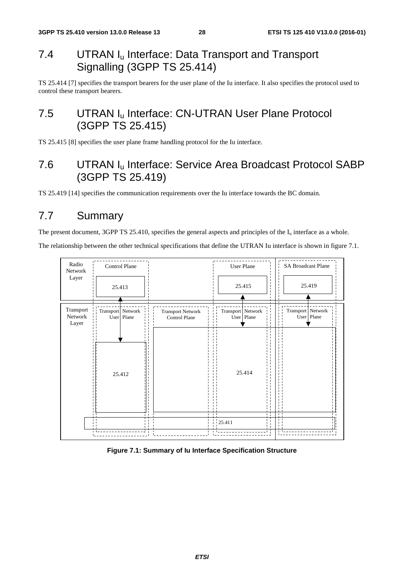# 7.4 UTRAN I<sub>u</sub> Interface: Data Transport and Transport Signalling (3GPP TS 25.414)

TS 25.414 [7] specifies the transport bearers for the user plane of the Iu interface. It also specifies the protocol used to control these transport bearers.

# 7.5 UTRAN I<sub>u</sub> Interface: CN-UTRAN User Plane Protocol (3GPP TS 25.415)

TS 25.415 [8] specifies the user plane frame handling protocol for the Iu interface.

# 7.6 UTRAN Iu Interface: Service Area Broadcast Protocol SABP (3GPP TS 25.419)

TS 25.419 [14] specifies the communication requirements over the Iu interface towards the BC domain.

# 7.7 Summary

The present document, 3GPP TS 25.410, specifies the general aspects and principles of the  $I_u$  interface as a whole.

The relationship between the other technical specifications that define the UTRAN Iu interface is shown in figure 7.1.



**Figure 7.1: Summary of Iu Interface Specification Structure**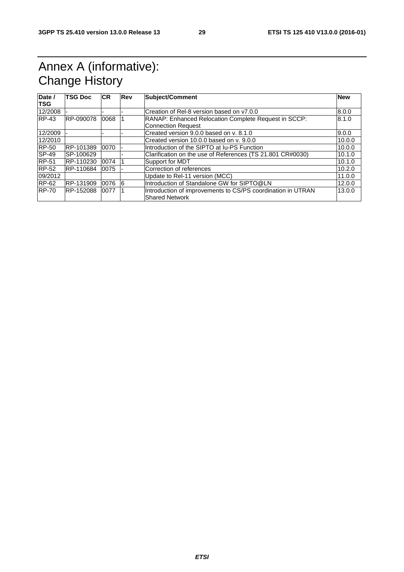# Annex A (informative): Change History

| Date /<br><b>TSG</b> | <b>TSG Doc</b> | <b>CR</b> | Rev | Subject/Comment                                             |        |
|----------------------|----------------|-----------|-----|-------------------------------------------------------------|--------|
| 12/2008              |                |           |     | Creation of Rel-8 version based on v7.0.0                   | 8.0.0  |
| $RP-43$              | RP-090078      | 0068      |     | RANAP: Enhanced Relocation Complete Request in SCCP:        | 8.1.0  |
|                      |                |           |     | <b>Connection Request</b>                                   |        |
| 12/2009              |                |           |     | Created version 9.0.0 based on v. 8.1.0                     | 9.0.0  |
| 12/2010              |                |           |     | Created version 10.0.0 based on y. 9.0.0                    | 10.0.0 |
| <b>RP-50</b>         | RP-101389      | 0070      |     | Introduction of the SIPTO at Iu-PS Function                 | 10.0.0 |
| $SP-49$              | SP-100629      |           |     | Clarification on the use of References (TS 21.801 CR#0030)  | 10.1.0 |
| <b>RP-51</b>         | RP-110230      | 0074      |     | Support for MDT                                             | 10.1.0 |
| <b>RP-52</b>         | RP-110684      | 0075      |     | Correction of references                                    | 10.2.0 |
| 09/2012              |                |           |     | Update to Rel-11 version (MCC)                              | 11.0.0 |
| RP-62                | RP-131909      | 0076      | 16  | Introduction of Standalone GW for SIPTO@LN                  | 12.0.0 |
| <b>RP-70</b>         | RP-152088      | 0077      |     | Introduction of improvements to CS/PS coordination in UTRAN | 13.0.0 |
|                      |                |           |     | Shared Network                                              |        |